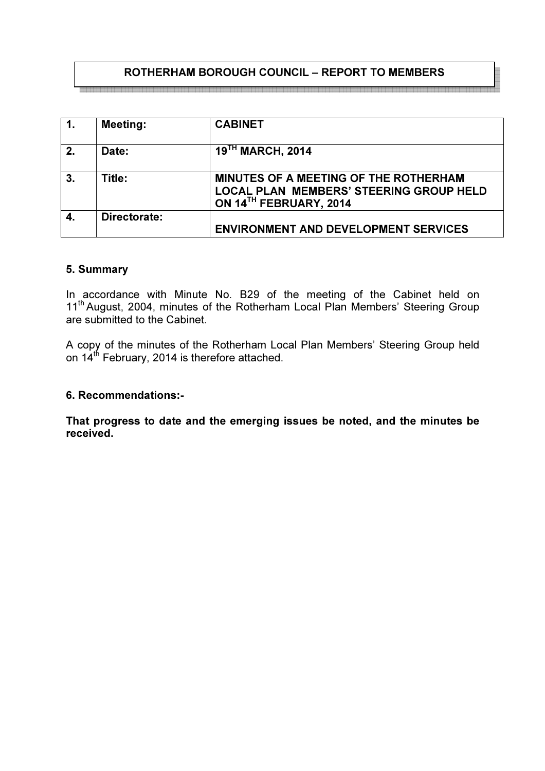# ROTHERHAM BOROUGH COUNCIL – REPORT TO MEMBERS

| $\overline{1}$ . | <b>Meeting:</b> | <b>CABINET</b>                                                                                                    |
|------------------|-----------------|-------------------------------------------------------------------------------------------------------------------|
| 2.               | Date:           | 19 <sup>TH</sup> MARCH, 2014                                                                                      |
| 3.               | Title:          | MINUTES OF A MEETING OF THE ROTHERHAM<br><b>LOCAL PLAN MEMBERS' STEERING GROUP HELD</b><br>ON 14TH FEBRUARY, 2014 |
|                  | Directorate:    | <b>ENVIRONMENT AND DEVELOPMENT SERVICES</b>                                                                       |

#### 5. Summary

In accordance with Minute No. B29 of the meeting of the Cabinet held on 11<sup>th</sup> August, 2004, minutes of the Rotherham Local Plan Members' Steering Group are submitted to the Cabinet.

A copy of the minutes of the Rotherham Local Plan Members' Steering Group held on 14<sup>th</sup> February, 2014 is therefore attached.

#### 6. Recommendations:-

That progress to date and the emerging issues be noted, and the minutes be received.